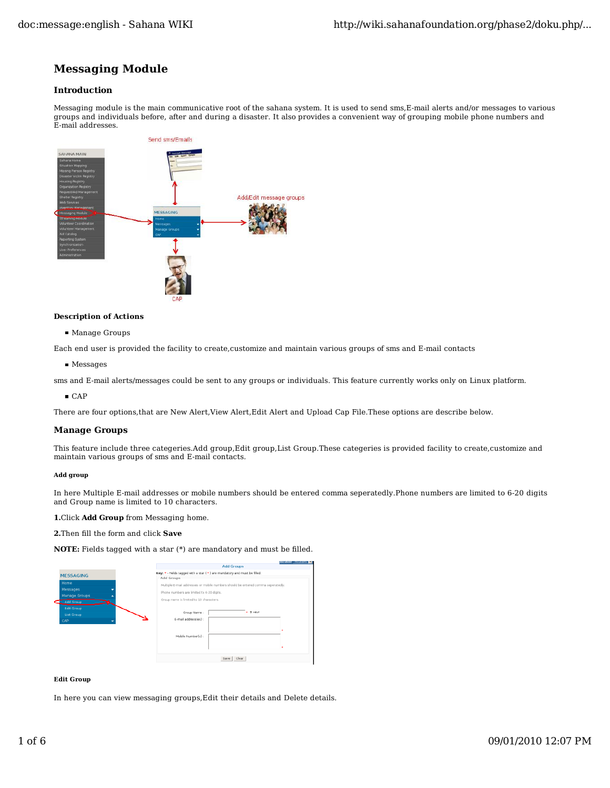# **Messaging Module**

## **Introduction**

Messaging module is the main communicative root of the sahana system. It is used to send sms,E-mail alerts and/or messages to various groups and individuals before, after and during a disaster. It also provides a convenient way of grouping mobile phone numbers and E-mail addresses.



## **Description of Actions**

Manage Groups

Each end user is provided the facility to create,customize and maintain various groups of sms and E-mail contacts

**Messages** 

sms and E-mail alerts/messages could be sent to any groups or individuals. This feature currently works only on Linux platform.

 $CAP$ 

There are four options,that are New Alert,View Alert,Edit Alert and Upload Cap File.These options are describe below.

## **Manage Groups**

This feature include three categeries.Add group,Edit group,List Group.These categeries is provided facility to create,customize and maintain various groups of sms and E-mail contacts.

#### **Add group**

In here Multiple E-mail addresses or mobile numbers should be entered comma seperatedly.Phone numbers are limited to 6-20 digits and Group name is limited to 10 characters.

**1.**Click **Add Group** from Messaging home.

**2.**Then fill the form and click **Save**

**NOTE:** Fields tagged with a star (\*) are mandatory and must be filled.

|                                 | <b>Incident</b> Trainomi L                                                               |
|---------------------------------|------------------------------------------------------------------------------------------|
|                                 | <b>Add Groups</b>                                                                        |
| <b>MESSAGING</b>                | Key: * - Fields tagged with a star ( * ) are mandatory and must be filled.<br>Add Groups |
| Home                            | Multiple E-mail addresses or mobile numbers should be entered comma seperatedy.          |
| Messages<br>Manage Groups       | Phone numbers are limited to 6-20 digits.                                                |
| Add Group                       | Group name is limited to 10 characters.                                                  |
| <b>Edit Group</b><br>List Group | * ? HELP<br>Group Name:                                                                  |
| CAP                             | E-mail address(es) :                                                                     |
|                                 |                                                                                          |
|                                 | Mobile Number(s):                                                                        |
|                                 |                                                                                          |
|                                 | Clear<br>Save                                                                            |

#### **Edit Group**

In here you can view messaging groups,Edit their details and Delete details.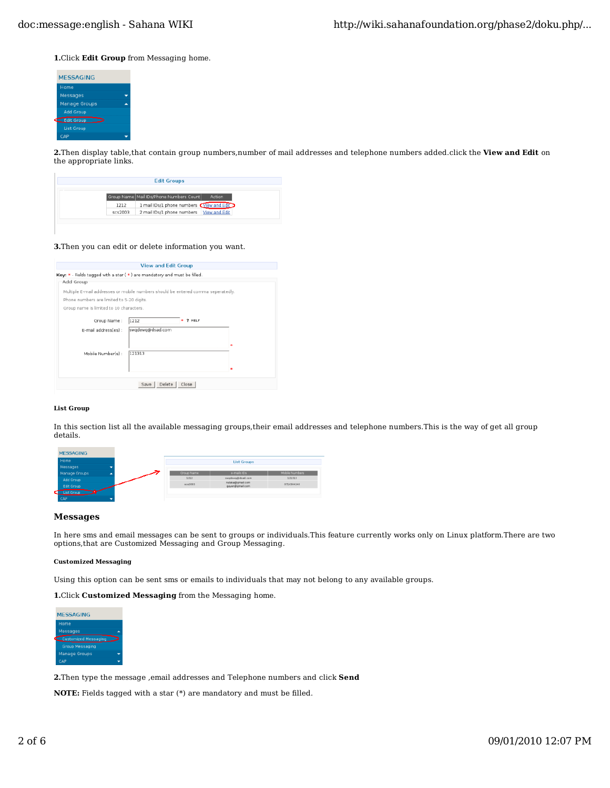**1.**Click **Edit Group** from Messaging home.



**2.**Then display table,that contain group numbers,number of mail addresses and telephone numbers added.click the **View and Edit** on the appropriate links.

|         | <b>Edit Groups</b>                                    |  |
|---------|-------------------------------------------------------|--|
|         | Group Name   Mail IDs/Phone Numbers Count  <br>Action |  |
| 1212    | 1 mail IDs/1 phone numbers Wiew and Edit              |  |
| scs2003 | 2 mail IDs/1 phone numbers   View and Edit            |  |

#### **3.**Then you can edit or delete information you want.

|                                           | <b>View and Edit Group</b>                                                       |  |
|-------------------------------------------|----------------------------------------------------------------------------------|--|
|                                           | Key: * - Fields tagged with a star (*) are mandatory and must be filled.         |  |
| Add Group                                 |                                                                                  |  |
|                                           | Multiple E-mail addresses or mobile numbers should be entered comma seperatedly. |  |
| Phone numbers are limited to 5-20 digits. |                                                                                  |  |
| Group name is limited to 10 characters.   |                                                                                  |  |
| Group Name:                               | ? HELP<br>1212                                                                   |  |
| E-mail address(es) :                      | swgdewg@dsad.com                                                                 |  |
|                                           |                                                                                  |  |
| Mobile Number(s):                         | 121313                                                                           |  |
|                                           |                                                                                  |  |
|                                           |                                                                                  |  |
|                                           | Close<br>Delete<br>Save I                                                        |  |

#### **List Group**

In this section list all the available messaging groups,their email addresses and telephone numbers.This is the way of get all group details.

| <b>MESSAGING</b>  |                    |                                     |                       |  |  |  |
|-------------------|--------------------|-------------------------------------|-----------------------|--|--|--|
| Home              | <b>List Groups</b> |                                     |                       |  |  |  |
| Messages          |                    |                                     |                       |  |  |  |
| Manage Groups     | Group Name         | e-mails Ds                          | <b>Mobile Numbers</b> |  |  |  |
| Add Group         | 1212               | swedewe@dsad.com                    | 121313                |  |  |  |
| <b>Edit Group</b> | scs2013            | nalaka@gmail.com<br>geyan@gmail.com | 0716304240            |  |  |  |
| List Group        |                    |                                     |                       |  |  |  |
| CAP               |                    |                                     |                       |  |  |  |

#### **Messages**

In here sms and email messages can be sent to groups or individuals.This feature currently works only on Linux platform.There are two options,that are Customized Messaging and Group Messaging.

#### **Customized Messaging**

Using this option can be sent sms or emails to individuals that may not belong to any available groups.

**1.**Click **Customized Messaging** from the Messaging home.



**2.**Then type the message ,email addresses and Telephone numbers and click **Send**

**NOTE:** Fields tagged with a star (\*) are mandatory and must be filled.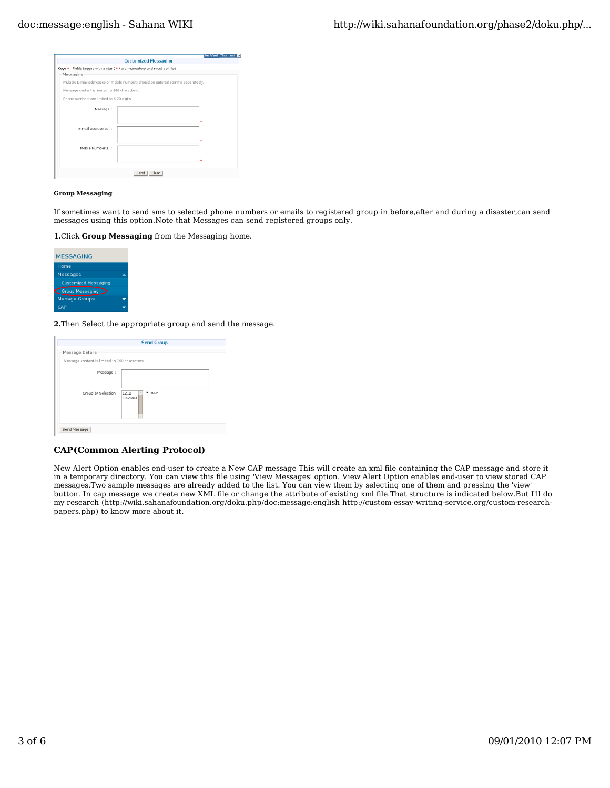|                                                                                  | Incident Thsunami |
|----------------------------------------------------------------------------------|-------------------|
| <b>Customized Messaging</b>                                                      |                   |
| Key: * - Fields tagged with a star ( * ) are mandatory and must be filled.       |                   |
| Messaging                                                                        |                   |
| Multiple E-mail addresses or mobile numbers should be entered comma seperatedly. |                   |
| Message content is limited to 160 characters.                                    |                   |
| Phone numbers are limited to 6-20 digits.                                        |                   |
| Message:                                                                         |                   |
|                                                                                  |                   |
| E-mail address(es) :                                                             |                   |
|                                                                                  |                   |
| Mobile Number(s) :                                                               |                   |
|                                                                                  |                   |
|                                                                                  |                   |
| Send Clear                                                                       |                   |

#### **Group Messaging**

If sometimes want to send sms to selected phone numbers or emails to registered group in before,after and during a disaster,can send messages using this option.Note that Messages can send registered groups only.

**1.**Click **Group Messaging** from the Messaging home.



**2.**Then Select the appropriate group and send the message.

|                                               | <b>Send Group</b>         |
|-----------------------------------------------|---------------------------|
| Message Details                               |                           |
| Message content is limited to 160 characters. |                           |
| Message:                                      |                           |
| Group(s) Selection                            | ? HELP<br>1212<br>scs2003 |
| Send Message                                  |                           |

## **CAP(Common Alerting Protocol)**

New Alert Option enables end-user to create a New CAP message This will create an xml file containing the CAP message and store it in a temporary directory. You can view this file using 'View Messages' option. View Alert Option enables end-user to view stored CAP messages.Two sample messages are already added to the list. You can view them by selecting one of them and pressing the 'view' button. In cap message we create new XML file or change the attribute of existing xml file.That structure is indicated below.But I'll do my research (http://wiki.sahanafoundation.org/doku.php/doc:message:english http://custom-essay-writing-service.org/custom-researchpapers.php) to know more about it.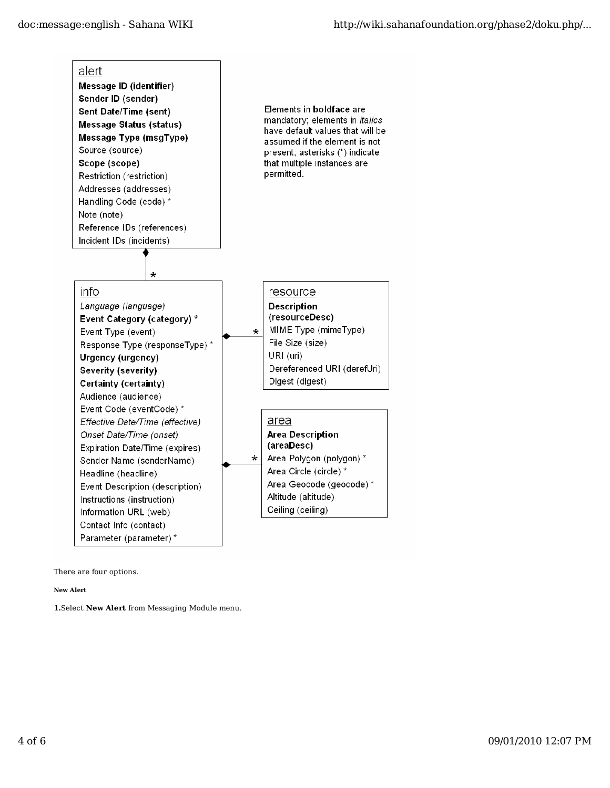

There are four options.

**New Alert**

**1.**Select **New Alert** from Messaging Module menu.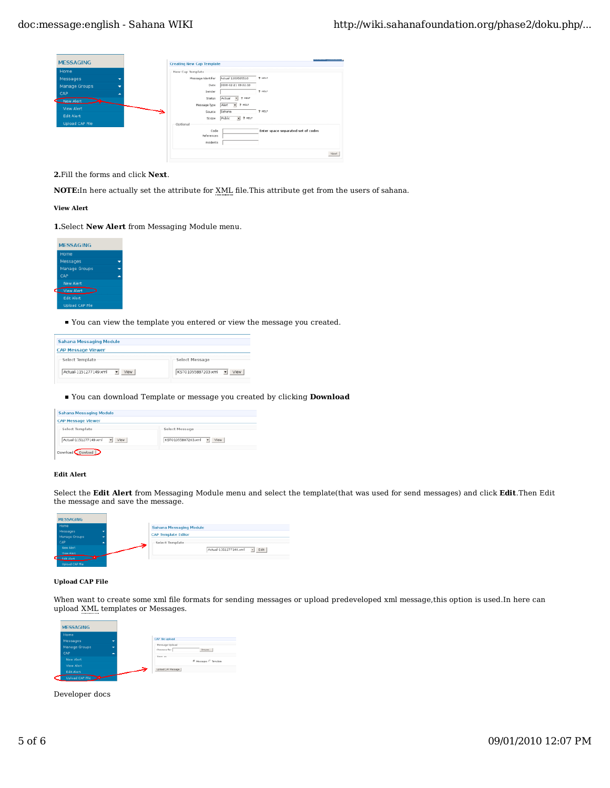| <b>MESSAGING</b>       |                          | <b>Creating New Cap Template</b> |                    |                                              |                                    |      |
|------------------------|--------------------------|----------------------------------|--------------------|----------------------------------------------|------------------------------------|------|
| Home                   |                          | New Cap Template                 |                    |                                              |                                    |      |
| Messages               | $\overline{\phantom{0}}$ |                                  | Message identifier | Actual-1203565510                            | 7 HELP                             |      |
| Manage Groups          | ۰                        |                                  | Date               | 2008-02-21 09:02:10                          |                                    |      |
| CAP                    | ٠                        |                                  | Sender             |                                              | ? HELP                             |      |
| New Alert              |                          |                                  | Status             | ? HELP<br>$\overline{\phantom{a}}$<br>Actual |                                    |      |
| View Alert             |                          |                                  | Message Type       | ? HELP<br>Alert<br>$\overline{r}$            |                                    |      |
| <b>Edit Alert</b>      |                          |                                  | Source             | Sahana                                       | 2 HELP                             |      |
|                        |                          |                                  | Scope              | $= 2$ HELP<br>Public                         |                                    |      |
| <b>Upload CAP File</b> |                          | Optional                         |                    |                                              |                                    |      |
|                        |                          |                                  | Code<br>References |                                              | Enter space separated set of codes |      |
|                        |                          |                                  |                    |                                              |                                    |      |
|                        |                          |                                  | incidents          |                                              |                                    |      |
|                        |                          |                                  |                    |                                              |                                    | Next |
|                        |                          |                                  |                    |                                              |                                    |      |

**2.**Fill the forms and click **Next**.

**NOTE:**In here actually set the attribute for XML file.This attribute get from the users of sahana.

**View Alert**

**1.**Select **New Alert** from Messaging Module menu.



You can view the template you entered or view the message you created.

| <b>Sahana Messaging Module</b> |                                 |
|--------------------------------|---------------------------------|
| <b>CAP Message Viewer</b>      |                                 |
| Select Template                | Select Message                  |
| Actual-1151277149.xml<br>View  | KST01055887203.xml<br>View<br>٠ |

## You can download Template or message you created by clicking **Download**

| <b>Sahana Messaging Module</b>                      |                              |
|-----------------------------------------------------|------------------------------|
| <b>CAP Message Viewer</b>                           |                              |
| Select Template                                     | Select Message               |
| Actual-1151277149.xml<br>$\blacktriangleright$ View | KST01055887203.xml -<br>View |

## **Edit Alert**

Select the **Edit Alert** from Messaging Module menu and select the template(that was used for send messages) and click **Edit**.Then Edit the message and save the message.

| <b>MESSAGING</b>  |     |                            |                                                 |
|-------------------|-----|----------------------------|-------------------------------------------------|
| Home              |     | Sahana Messaging Module    |                                                 |
| Messages          |     |                            |                                                 |
| Manage Groups     |     | <b>CAP Template Editor</b> |                                                 |
| CAP               |     | -Select Template           |                                                 |
| <b>New Alert</b>  | احت |                            | Edit<br>Actual-1151277149.xml<br>$\blacksquare$ |
| <b>View Alert</b> |     |                            |                                                 |
| Edit Alert        |     |                            |                                                 |

#### **Upload CAP File**

When want to create some xml file formats for sending messages or upload predeveloped xml message,this option is used.In here can upload XML templates or Messages.



Developer docs